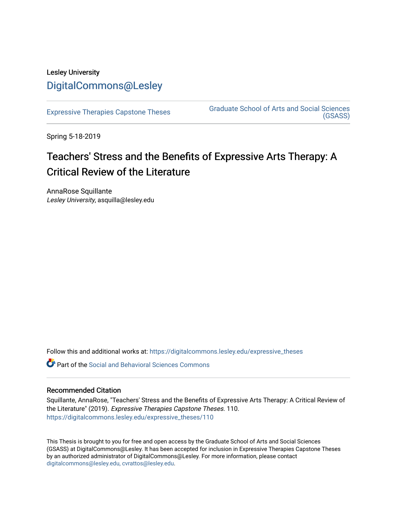## Lesley University [DigitalCommons@Lesley](https://digitalcommons.lesley.edu/)

[Expressive Therapies Capstone Theses](https://digitalcommons.lesley.edu/expressive_theses) Graduate School of Arts and Social Sciences [\(GSASS\)](https://digitalcommons.lesley.edu/gsass) 

Spring 5-18-2019

# Teachers' Stress and the Benefits of Expressive Arts Therapy: A Critical Review of the Literature

AnnaRose Squillante Lesley University, asquilla@lesley.edu

Follow this and additional works at: [https://digitalcommons.lesley.edu/expressive\\_theses](https://digitalcommons.lesley.edu/expressive_theses?utm_source=digitalcommons.lesley.edu%2Fexpressive_theses%2F110&utm_medium=PDF&utm_campaign=PDFCoverPages)

Part of the [Social and Behavioral Sciences Commons](http://network.bepress.com/hgg/discipline/316?utm_source=digitalcommons.lesley.edu%2Fexpressive_theses%2F110&utm_medium=PDF&utm_campaign=PDFCoverPages) 

### Recommended Citation

Squillante, AnnaRose, "Teachers' Stress and the Benefits of Expressive Arts Therapy: A Critical Review of the Literature" (2019). Expressive Therapies Capstone Theses. 110. [https://digitalcommons.lesley.edu/expressive\\_theses/110](https://digitalcommons.lesley.edu/expressive_theses/110?utm_source=digitalcommons.lesley.edu%2Fexpressive_theses%2F110&utm_medium=PDF&utm_campaign=PDFCoverPages)

This Thesis is brought to you for free and open access by the Graduate School of Arts and Social Sciences (GSASS) at DigitalCommons@Lesley. It has been accepted for inclusion in Expressive Therapies Capstone Theses by an authorized administrator of DigitalCommons@Lesley. For more information, please contact [digitalcommons@lesley.edu, cvrattos@lesley.edu](mailto:digitalcommons@lesley.edu,%20cvrattos@lesley.edu).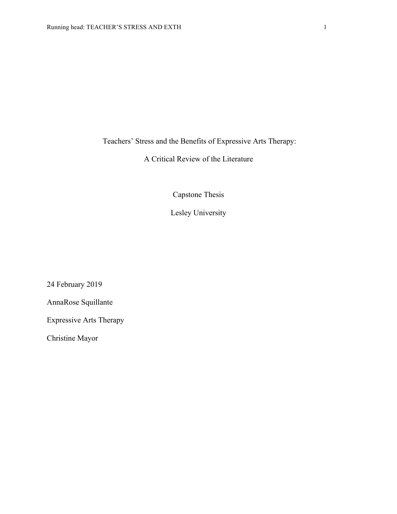Teachers' Stress and the Benefits of Expressive Arts Therapy:

## A Critical Review of the Literature

Capstone Thesis

Lesley University

24 February 2019

AnnaRose Squillante

Expressive Arts Therapy

Christine Mayor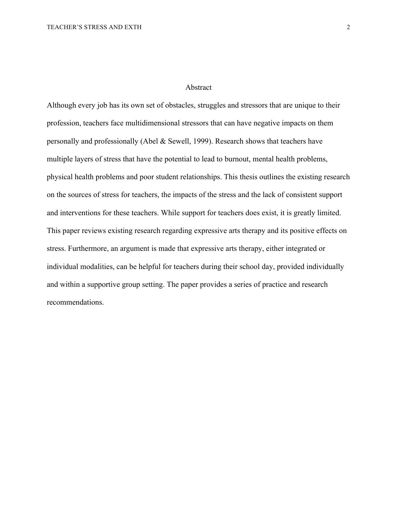#### Abstract

Although every job has its own set of obstacles, struggles and stressors that are unique to their profession, teachers face multidimensional stressors that can have negative impacts on them personally and professionally (Abel & Sewell, 1999). Research shows that teachers have multiple layers of stress that have the potential to lead to burnout, mental health problems, physical health problems and poor student relationships. This thesis outlines the existing research on the sources of stress for teachers, the impacts of the stress and the lack of consistent support and interventions for these teachers. While support for teachers does exist, it is greatly limited. This paper reviews existing research regarding expressive arts therapy and its positive effects on stress. Furthermore, an argument is made that expressive arts therapy, either integrated or individual modalities, can be helpful for teachers during their school day, provided individually and within a supportive group setting. The paper provides a series of practice and research recommendations.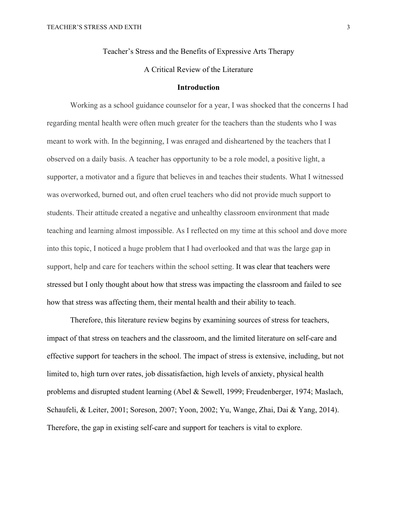Teacher's Stress and the Benefits of Expressive Arts Therapy

## A Critical Review of the Literature

#### **Introduction**

Working as a school guidance counselor for a year, I was shocked that the concerns I had regarding mental health were often much greater for the teachers than the students who I was meant to work with. In the beginning, I was enraged and disheartened by the teachers that I observed on a daily basis. A teacher has opportunity to be a role model, a positive light, a supporter, a motivator and a figure that believes in and teaches their students. What I witnessed was overworked, burned out, and often cruel teachers who did not provide much support to students. Their attitude created a negative and unhealthy classroom environment that made teaching and learning almost impossible. As I reflected on my time at this school and dove more into this topic, I noticed a huge problem that I had overlooked and that was the large gap in support, help and care for teachers within the school setting. It was clear that teachers were stressed but I only thought about how that stress was impacting the classroom and failed to see how that stress was affecting them, their mental health and their ability to teach.

Therefore, this literature review begins by examining sources of stress for teachers, impact of that stress on teachers and the classroom, and the limited literature on self-care and effective support for teachers in the school. The impact of stress is extensive, including, but not limited to, high turn over rates, job dissatisfaction, high levels of anxiety, physical health problems and disrupted student learning (Abel & Sewell, 1999; Freudenberger, 1974; Maslach, Schaufeli, & Leiter, 2001; Soreson, 2007; Yoon, 2002; Yu, Wange, Zhai, Dai & Yang, 2014). Therefore, the gap in existing self-care and support for teachers is vital to explore.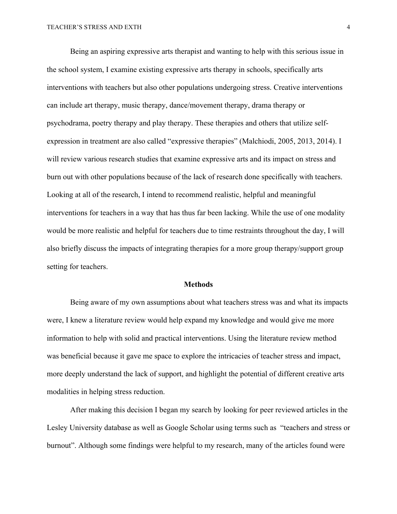Being an aspiring expressive arts therapist and wanting to help with this serious issue in the school system, I examine existing expressive arts therapy in schools, specifically arts interventions with teachers but also other populations undergoing stress. Creative interventions can include art therapy, music therapy, dance/movement therapy, drama therapy or psychodrama, poetry therapy and play therapy. These therapies and others that utilize selfexpression in treatment are also called "expressive therapies" (Malchiodi, 2005, 2013, 2014). I will review various research studies that examine expressive arts and its impact on stress and burn out with other populations because of the lack of research done specifically with teachers. Looking at all of the research, I intend to recommend realistic, helpful and meaningful interventions for teachers in a way that has thus far been lacking. While the use of one modality would be more realistic and helpful for teachers due to time restraints throughout the day, I will also briefly discuss the impacts of integrating therapies for a more group therapy/support group setting for teachers.

#### **Methods**

Being aware of my own assumptions about what teachers stress was and what its impacts were, I knew a literature review would help expand my knowledge and would give me more information to help with solid and practical interventions. Using the literature review method was beneficial because it gave me space to explore the intricacies of teacher stress and impact, more deeply understand the lack of support, and highlight the potential of different creative arts modalities in helping stress reduction.

After making this decision I began my search by looking for peer reviewed articles in the Lesley University database as well as Google Scholar using terms such as "teachers and stress or burnout". Although some findings were helpful to my research, many of the articles found were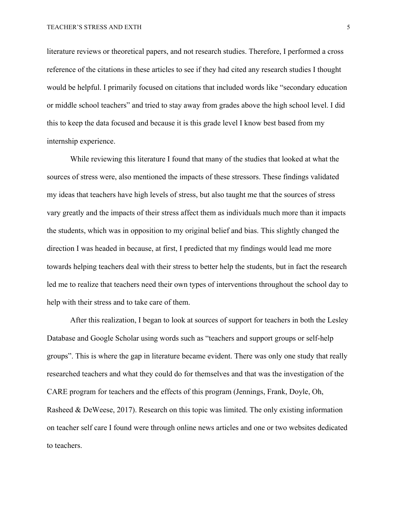literature reviews or theoretical papers, and not research studies. Therefore, I performed a cross reference of the citations in these articles to see if they had cited any research studies I thought would be helpful. I primarily focused on citations that included words like "secondary education or middle school teachers" and tried to stay away from grades above the high school level. I did this to keep the data focused and because it is this grade level I know best based from my internship experience.

While reviewing this literature I found that many of the studies that looked at what the sources of stress were, also mentioned the impacts of these stressors. These findings validated my ideas that teachers have high levels of stress, but also taught me that the sources of stress vary greatly and the impacts of their stress affect them as individuals much more than it impacts the students, which was in opposition to my original belief and bias. This slightly changed the direction I was headed in because, at first, I predicted that my findings would lead me more towards helping teachers deal with their stress to better help the students, but in fact the research led me to realize that teachers need their own types of interventions throughout the school day to help with their stress and to take care of them.

After this realization, I began to look at sources of support for teachers in both the Lesley Database and Google Scholar using words such as "teachers and support groups or self-help groups". This is where the gap in literature became evident. There was only one study that really researched teachers and what they could do for themselves and that was the investigation of the CARE program for teachers and the effects of this program (Jennings, Frank, Doyle, Oh, Rasheed & DeWeese, 2017). Research on this topic was limited. The only existing information on teacher self care I found were through online news articles and one or two websites dedicated to teachers.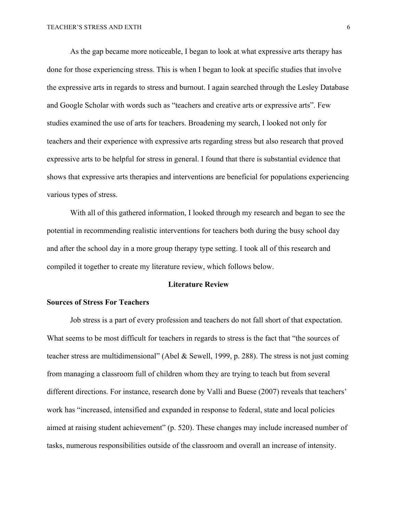As the gap became more noticeable, I began to look at what expressive arts therapy has done for those experiencing stress. This is when I began to look at specific studies that involve the expressive arts in regards to stress and burnout. I again searched through the Lesley Database and Google Scholar with words such as "teachers and creative arts or expressive arts". Few studies examined the use of arts for teachers. Broadening my search, I looked not only for teachers and their experience with expressive arts regarding stress but also research that proved expressive arts to be helpful for stress in general. I found that there is substantial evidence that shows that expressive arts therapies and interventions are beneficial for populations experiencing various types of stress.

With all of this gathered information, I looked through my research and began to see the potential in recommending realistic interventions for teachers both during the busy school day and after the school day in a more group therapy type setting. I took all of this research and compiled it together to create my literature review, which follows below.

#### **Literature Review**

#### **Sources of Stress For Teachers**

Job stress is a part of every profession and teachers do not fall short of that expectation. What seems to be most difficult for teachers in regards to stress is the fact that "the sources of teacher stress are multidimensional" (Abel & Sewell, 1999, p. 288). The stress is not just coming from managing a classroom full of children whom they are trying to teach but from several different directions. For instance, research done by Valli and Buese (2007) reveals that teachers' work has "increased, intensified and expanded in response to federal, state and local policies aimed at raising student achievement" (p. 520). These changes may include increased number of tasks, numerous responsibilities outside of the classroom and overall an increase of intensity.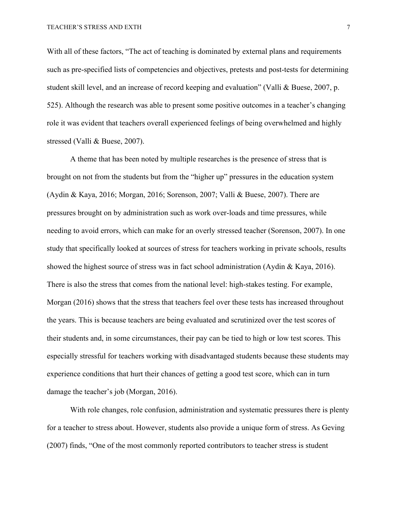With all of these factors, "The act of teaching is dominated by external plans and requirements such as pre-specified lists of competencies and objectives, pretests and post-tests for determining student skill level, and an increase of record keeping and evaluation" (Valli & Buese, 2007, p. 525). Although the research was able to present some positive outcomes in a teacher's changing role it was evident that teachers overall experienced feelings of being overwhelmed and highly stressed (Valli & Buese, 2007).

A theme that has been noted by multiple researches is the presence of stress that is brought on not from the students but from the "higher up" pressures in the education system (Aydin & Kaya, 2016; Morgan, 2016; Sorenson, 2007; Valli & Buese, 2007). There are pressures brought on by administration such as work over-loads and time pressures, while needing to avoid errors, which can make for an overly stressed teacher (Sorenson, 2007). In one study that specifically looked at sources of stress for teachers working in private schools, results showed the highest source of stress was in fact school administration (Aydin & Kaya, 2016). There is also the stress that comes from the national level: high-stakes testing. For example, Morgan (2016) shows that the stress that teachers feel over these tests has increased throughout the years. This is because teachers are being evaluated and scrutinized over the test scores of their students and, in some circumstances, their pay can be tied to high or low test scores. This especially stressful for teachers working with disadvantaged students because these students may experience conditions that hurt their chances of getting a good test score, which can in turn damage the teacher's job (Morgan, 2016).

With role changes, role confusion, administration and systematic pressures there is plenty for a teacher to stress about. However, students also provide a unique form of stress. As Geving (2007) finds, "One of the most commonly reported contributors to teacher stress is student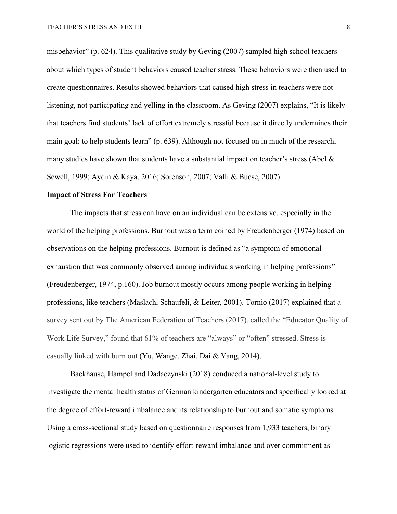misbehavior" (p. 624). This qualitative study by Geving (2007) sampled high school teachers about which types of student behaviors caused teacher stress. These behaviors were then used to create questionnaires. Results showed behaviors that caused high stress in teachers were not listening, not participating and yelling in the classroom. As Geving (2007) explains, "It is likely that teachers find students' lack of effort extremely stressful because it directly undermines their main goal: to help students learn" (p. 639). Although not focused on in much of the research, many studies have shown that students have a substantial impact on teacher's stress (Abel & Sewell, 1999; Aydin & Kaya, 2016; Sorenson, 2007; Valli & Buese, 2007).

#### **Impact of Stress For Teachers**

The impacts that stress can have on an individual can be extensive, especially in the world of the helping professions. Burnout was a term coined by Freudenberger (1974) based on observations on the helping professions. Burnout is defined as "a symptom of emotional exhaustion that was commonly observed among individuals working in helping professions" (Freudenberger, 1974, p.160). Job burnout mostly occurs among people working in helping professions, like teachers (Maslach, Schaufeli, & Leiter, 2001). Tornio (2017) explained that a survey sent out by The American Federation of Teachers (2017), called the "Educator Quality of Work Life Survey," found that 61% of teachers are "always" or "often" stressed. Stress is casually linked with burn out (Yu, Wange, Zhai, Dai & Yang, 2014).

Backhause, Hampel and Dadaczynski (2018) conduced a national-level study to investigate the mental health status of German kindergarten educators and specifically looked at the degree of effort-reward imbalance and its relationship to burnout and somatic symptoms. Using a cross-sectional study based on questionnaire responses from 1,933 teachers, binary logistic regressions were used to identify effort-reward imbalance and over commitment as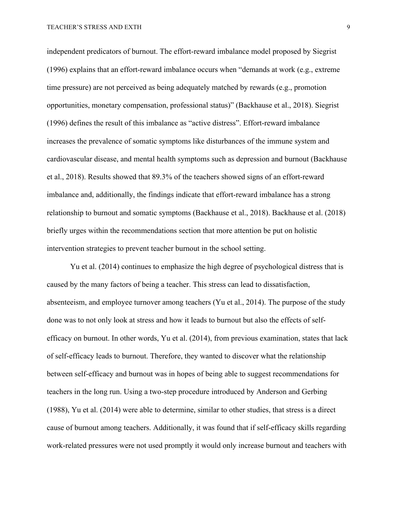independent predicators of burnout. The effort-reward imbalance model proposed by Siegrist (1996) explains that an effort-reward imbalance occurs when "demands at work (e.g., extreme time pressure) are not perceived as being adequately matched by rewards (e.g., promotion opportunities, monetary compensation, professional status)" (Backhause et al., 2018). Siegrist (1996) defines the result of this imbalance as "active distress". Effort-reward imbalance increases the prevalence of somatic symptoms like disturbances of the immune system and cardiovascular disease, and mental health symptoms such as depression and burnout (Backhause et al., 2018). Results showed that 89.3% of the teachers showed signs of an effort-reward imbalance and, additionally, the findings indicate that effort-reward imbalance has a strong relationship to burnout and somatic symptoms (Backhause et al., 2018). Backhause et al. (2018) briefly urges within the recommendations section that more attention be put on holistic intervention strategies to prevent teacher burnout in the school setting.

Yu et al. (2014) continues to emphasize the high degree of psychological distress that is caused by the many factors of being a teacher. This stress can lead to dissatisfaction, absenteeism, and employee turnover among teachers (Yu et al., 2014). The purpose of the study done was to not only look at stress and how it leads to burnout but also the effects of selfefficacy on burnout. In other words, Yu et al. (2014), from previous examination, states that lack of self-efficacy leads to burnout. Therefore, they wanted to discover what the relationship between self-efficacy and burnout was in hopes of being able to suggest recommendations for teachers in the long run. Using a two-step procedure introduced by Anderson and Gerbing (1988), Yu et al. (2014) were able to determine, similar to other studies, that stress is a direct cause of burnout among teachers. Additionally, it was found that if self-efficacy skills regarding work-related pressures were not used promptly it would only increase burnout and teachers with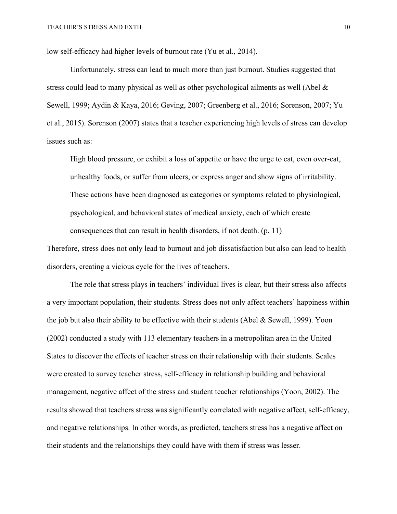low self-efficacy had higher levels of burnout rate (Yu et al., 2014).

Unfortunately, stress can lead to much more than just burnout. Studies suggested that stress could lead to many physical as well as other psychological ailments as well (Abel & Sewell, 1999; Aydin & Kaya, 2016; Geving, 2007; Greenberg et al., 2016; Sorenson, 2007; Yu et al., 2015). Sorenson (2007) states that a teacher experiencing high levels of stress can develop issues such as:

High blood pressure, or exhibit a loss of appetite or have the urge to eat, even over-eat, unhealthy foods, or suffer from ulcers, or express anger and show signs of irritability. These actions have been diagnosed as categories or symptoms related to physiological, psychological, and behavioral states of medical anxiety, each of which create consequences that can result in health disorders, if not death. (p. 11)

Therefore, stress does not only lead to burnout and job dissatisfaction but also can lead to health disorders, creating a vicious cycle for the lives of teachers.

The role that stress plays in teachers' individual lives is clear, but their stress also affects a very important population, their students. Stress does not only affect teachers' happiness within the job but also their ability to be effective with their students (Abel & Sewell, 1999). Yoon (2002) conducted a study with 113 elementary teachers in a metropolitan area in the United States to discover the effects of teacher stress on their relationship with their students. Scales were created to survey teacher stress, self-efficacy in relationship building and behavioral management, negative affect of the stress and student teacher relationships (Yoon, 2002). The results showed that teachers stress was significantly correlated with negative affect, self-efficacy, and negative relationships. In other words, as predicted, teachers stress has a negative affect on their students and the relationships they could have with them if stress was lesser.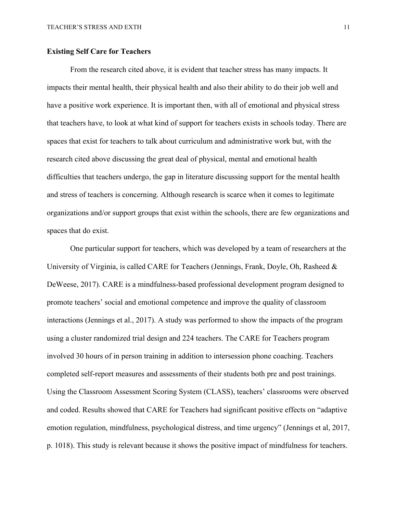### **Existing Self Care for Teachers**

From the research cited above, it is evident that teacher stress has many impacts. It impacts their mental health, their physical health and also their ability to do their job well and have a positive work experience. It is important then, with all of emotional and physical stress that teachers have, to look at what kind of support for teachers exists in schools today. There are spaces that exist for teachers to talk about curriculum and administrative work but, with the research cited above discussing the great deal of physical, mental and emotional health difficulties that teachers undergo, the gap in literature discussing support for the mental health and stress of teachers is concerning. Although research is scarce when it comes to legitimate organizations and/or support groups that exist within the schools, there are few organizations and spaces that do exist.

One particular support for teachers, which was developed by a team of researchers at the University of Virginia, is called CARE for Teachers (Jennings, Frank, Doyle, Oh, Rasheed & DeWeese, 2017). CARE is a mindfulness-based professional development program designed to promote teachers' social and emotional competence and improve the quality of classroom interactions (Jennings et al., 2017). A study was performed to show the impacts of the program using a cluster randomized trial design and 224 teachers. The CARE for Teachers program involved 30 hours of in person training in addition to intersession phone coaching. Teachers completed self-report measures and assessments of their students both pre and post trainings. Using the Classroom Assessment Scoring System (CLASS), teachers' classrooms were observed and coded. Results showed that CARE for Teachers had significant positive effects on "adaptive emotion regulation, mindfulness, psychological distress, and time urgency" (Jennings et al, 2017, p. 1018). This study is relevant because it shows the positive impact of mindfulness for teachers.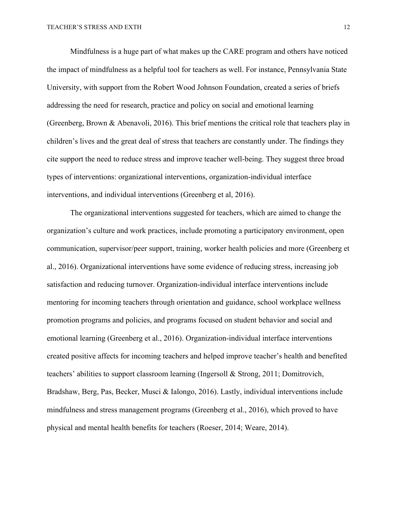Mindfulness is a huge part of what makes up the CARE program and others have noticed the impact of mindfulness as a helpful tool for teachers as well. For instance, Pennsylvania State University, with support from the Robert Wood Johnson Foundation, created a series of briefs addressing the need for research, practice and policy on social and emotional learning (Greenberg, Brown & Abenavoli, 2016). This brief mentions the critical role that teachers play in children's lives and the great deal of stress that teachers are constantly under. The findings they cite support the need to reduce stress and improve teacher well-being. They suggest three broad types of interventions: organizational interventions, organization-individual interface interventions, and individual interventions (Greenberg et al, 2016).

The organizational interventions suggested for teachers, which are aimed to change the organization's culture and work practices, include promoting a participatory environment, open communication, supervisor/peer support, training, worker health policies and more (Greenberg et al., 2016). Organizational interventions have some evidence of reducing stress, increasing job satisfaction and reducing turnover. Organization-individual interface interventions include mentoring for incoming teachers through orientation and guidance, school workplace wellness promotion programs and policies, and programs focused on student behavior and social and emotional learning (Greenberg et al., 2016). Organization-individual interface interventions created positive affects for incoming teachers and helped improve teacher's health and benefited teachers' abilities to support classroom learning (Ingersoll & Strong, 2011; Domitrovich, Bradshaw, Berg, Pas, Becker, Musci & Ialongo, 2016). Lastly, individual interventions include mindfulness and stress management programs (Greenberg et al., 2016), which proved to have physical and mental health benefits for teachers (Roeser, 2014; Weare, 2014).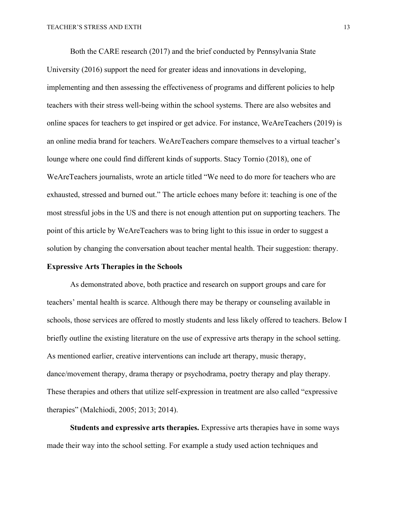Both the CARE research (2017) and the brief conducted by Pennsylvania State University (2016) support the need for greater ideas and innovations in developing, implementing and then assessing the effectiveness of programs and different policies to help teachers with their stress well-being within the school systems. There are also websites and online spaces for teachers to get inspired or get advice. For instance, WeAreTeachers (2019) is an online media brand for teachers. WeAreTeachers compare themselves to a virtual teacher's lounge where one could find different kinds of supports. Stacy Tornio (2018), one of WeAreTeachers journalists, wrote an article titled "We need to do more for teachers who are exhausted, stressed and burned out." The article echoes many before it: teaching is one of the most stressful jobs in the US and there is not enough attention put on supporting teachers. The point of this article by WeAreTeachers was to bring light to this issue in order to suggest a solution by changing the conversation about teacher mental health. Their suggestion: therapy.

### **Expressive Arts Therapies in the Schools**

As demonstrated above, both practice and research on support groups and care for teachers' mental health is scarce. Although there may be therapy or counseling available in schools, those services are offered to mostly students and less likely offered to teachers. Below I briefly outline the existing literature on the use of expressive arts therapy in the school setting. As mentioned earlier, creative interventions can include art therapy, music therapy, dance/movement therapy, drama therapy or psychodrama, poetry therapy and play therapy. These therapies and others that utilize self-expression in treatment are also called "expressive therapies" (Malchiodi, 2005; 2013; 2014).

**Students and expressive arts therapies.** Expressive arts therapies have in some ways made their way into the school setting. For example a study used action techniques and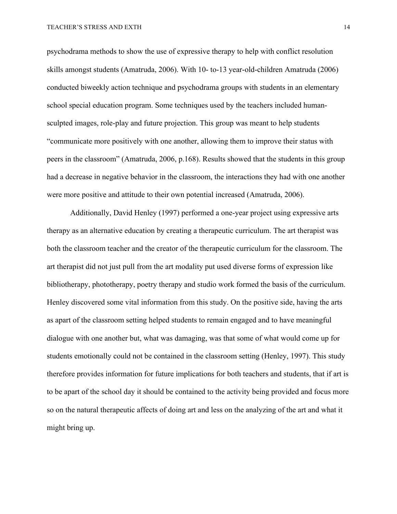psychodrama methods to show the use of expressive therapy to help with conflict resolution skills amongst students (Amatruda, 2006). With 10- to-13 year-old-children Amatruda (2006) conducted biweekly action technique and psychodrama groups with students in an elementary school special education program. Some techniques used by the teachers included humansculpted images, role-play and future projection. This group was meant to help students "communicate more positively with one another, allowing them to improve their status with peers in the classroom" (Amatruda, 2006, p.168). Results showed that the students in this group had a decrease in negative behavior in the classroom, the interactions they had with one another were more positive and attitude to their own potential increased (Amatruda, 2006).

Additionally, David Henley (1997) performed a one-year project using expressive arts therapy as an alternative education by creating a therapeutic curriculum. The art therapist was both the classroom teacher and the creator of the therapeutic curriculum for the classroom. The art therapist did not just pull from the art modality put used diverse forms of expression like bibliotherapy, phototherapy, poetry therapy and studio work formed the basis of the curriculum. Henley discovered some vital information from this study. On the positive side, having the arts as apart of the classroom setting helped students to remain engaged and to have meaningful dialogue with one another but, what was damaging, was that some of what would come up for students emotionally could not be contained in the classroom setting (Henley, 1997). This study therefore provides information for future implications for both teachers and students, that if art is to be apart of the school day it should be contained to the activity being provided and focus more so on the natural therapeutic affects of doing art and less on the analyzing of the art and what it might bring up.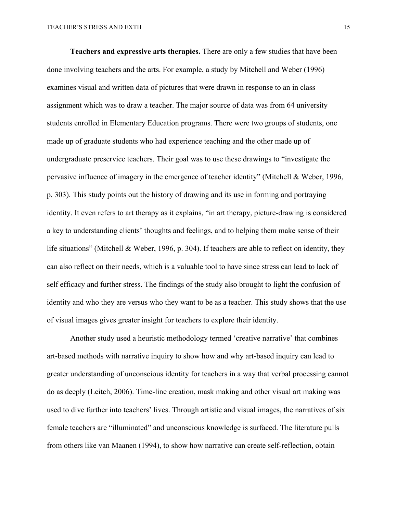**Teachers and expressive arts therapies.** There are only a few studies that have been done involving teachers and the arts. For example, a study by Mitchell and Weber (1996) examines visual and written data of pictures that were drawn in response to an in class assignment which was to draw a teacher. The major source of data was from 64 university students enrolled in Elementary Education programs. There were two groups of students, one made up of graduate students who had experience teaching and the other made up of undergraduate preservice teachers. Their goal was to use these drawings to "investigate the pervasive influence of imagery in the emergence of teacher identity" (Mitchell & Weber, 1996, p. 303). This study points out the history of drawing and its use in forming and portraying identity. It even refers to art therapy as it explains, "in art therapy, picture-drawing is considered a key to understanding clients' thoughts and feelings, and to helping them make sense of their life situations" (Mitchell & Weber, 1996, p. 304). If teachers are able to reflect on identity, they can also reflect on their needs, which is a valuable tool to have since stress can lead to lack of self efficacy and further stress. The findings of the study also brought to light the confusion of identity and who they are versus who they want to be as a teacher. This study shows that the use of visual images gives greater insight for teachers to explore their identity.

Another study used a heuristic methodology termed 'creative narrative' that combines art-based methods with narrative inquiry to show how and why art-based inquiry can lead to greater understanding of unconscious identity for teachers in a way that verbal processing cannot do as deeply (Leitch, 2006). Time-line creation, mask making and other visual art making was used to dive further into teachers' lives. Through artistic and visual images, the narratives of six female teachers are "illuminated" and unconscious knowledge is surfaced. The literature pulls from others like van Maanen (1994), to show how narrative can create self-reflection, obtain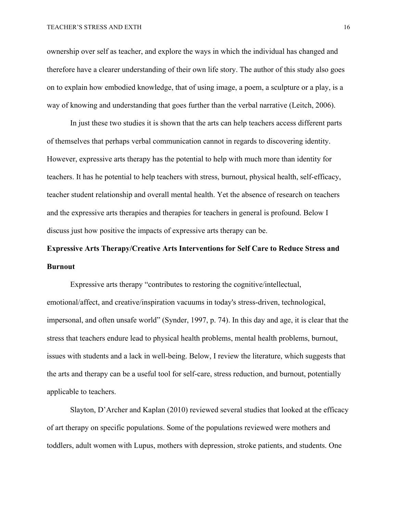ownership over self as teacher, and explore the ways in which the individual has changed and therefore have a clearer understanding of their own life story. The author of this study also goes on to explain how embodied knowledge, that of using image, a poem, a sculpture or a play, is a way of knowing and understanding that goes further than the verbal narrative (Leitch, 2006).

In just these two studies it is shown that the arts can help teachers access different parts of themselves that perhaps verbal communication cannot in regards to discovering identity. However, expressive arts therapy has the potential to help with much more than identity for teachers. It has he potential to help teachers with stress, burnout, physical health, self-efficacy, teacher student relationship and overall mental health. Yet the absence of research on teachers and the expressive arts therapies and therapies for teachers in general is profound. Below I discuss just how positive the impacts of expressive arts therapy can be.

## **Expressive Arts Therapy/Creative Arts Interventions for Self Care to Reduce Stress and Burnout**

Expressive arts therapy "contributes to restoring the cognitive/intellectual, emotional/affect, and creative/inspiration vacuums in today's stress-driven, technological, impersonal, and often unsafe world" (Synder, 1997, p. 74). In this day and age, it is clear that the stress that teachers endure lead to physical health problems, mental health problems, burnout, issues with students and a lack in well-being. Below, I review the literature, which suggests that the arts and therapy can be a useful tool for self-care, stress reduction, and burnout, potentially applicable to teachers.

Slayton, D'Archer and Kaplan (2010) reviewed several studies that looked at the efficacy of art therapy on specific populations. Some of the populations reviewed were mothers and toddlers, adult women with Lupus, mothers with depression, stroke patients, and students. One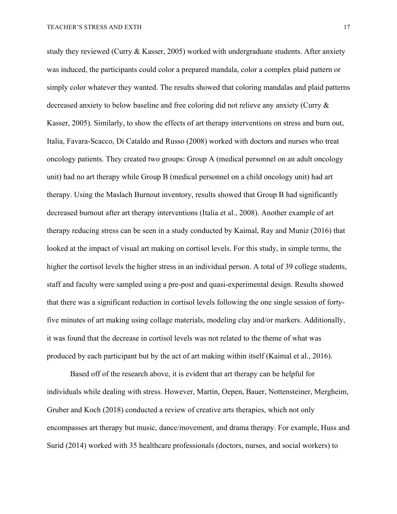study they reviewed (Curry & Kasser, 2005) worked with undergraduate students. After anxiety was induced, the participants could color a prepared mandala, color a complex plaid pattern or simply color whatever they wanted. The results showed that coloring mandalas and plaid patterns decreased anxiety to below baseline and free coloring did not relieve any anxiety (Curry & Kasser, 2005). Similarly, to show the effects of art therapy interventions on stress and burn out, Italia, Favara-Scacco, Di Cataldo and Russo (2008) worked with doctors and nurses who treat oncology patients. They created two groups: Group A (medical personnel on an adult oncology unit) had no art therapy while Group B (medical personnel on a child oncology unit) had art therapy. Using the Maslach Burnout inventory, results showed that Group B had significantly decreased burnout after art therapy interventions (Italia et al., 2008). Another example of art therapy reducing stress can be seen in a study conducted by Kaimal, Ray and Muniz (2016) that looked at the impact of visual art making on cortisol levels. For this study, in simple terms, the higher the cortisol levels the higher stress in an individual person. A total of 39 college students, staff and faculty were sampled using a pre-post and quasi-experimental design. Results showed that there was a significant reduction in cortisol levels following the one single session of fortyfive minutes of art making using collage materials, modeling clay and/or markers. Additionally, it was found that the decrease in cortisol levels was not related to the theme of what was produced by each participant but by the act of art making within itself (Kaimal et al., 2016).

Based off of the research above, it is evident that art therapy can be helpful for individuals while dealing with stress. However, Martin, Oepen, Bauer, Nottensteiner, Mergheim, Gruber and Koch (2018) conducted a review of creative arts therapies, which not only encompasses art therapy but music, dance/movement, and drama therapy. For example, Huss and Surid (2014) worked with 35 healthcare professionals (doctors, nurses, and social workers) to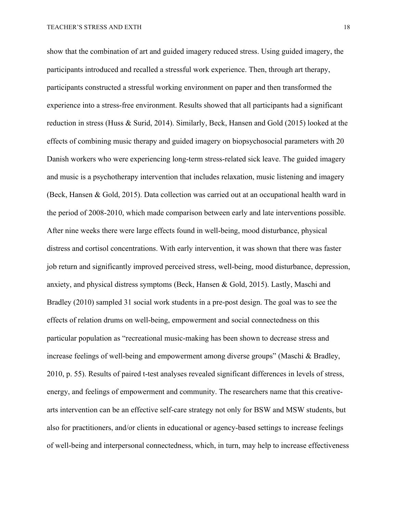show that the combination of art and guided imagery reduced stress. Using guided imagery, the participants introduced and recalled a stressful work experience. Then, through art therapy, participants constructed a stressful working environment on paper and then transformed the experience into a stress-free environment. Results showed that all participants had a significant reduction in stress (Huss & Surid, 2014). Similarly, Beck, Hansen and Gold (2015) looked at the effects of combining music therapy and guided imagery on biopsychosocial parameters with 20 Danish workers who were experiencing long-term stress-related sick leave. The guided imagery and music is a psychotherapy intervention that includes relaxation, music listening and imagery (Beck, Hansen & Gold, 2015). Data collection was carried out at an occupational health ward in the period of 2008-2010, which made comparison between early and late interventions possible. After nine weeks there were large effects found in well-being, mood disturbance, physical distress and cortisol concentrations. With early intervention, it was shown that there was faster job return and significantly improved perceived stress, well-being, mood disturbance, depression, anxiety, and physical distress symptoms (Beck, Hansen & Gold, 2015). Lastly, Maschi and Bradley (2010) sampled 31 social work students in a pre-post design. The goal was to see the effects of relation drums on well-being, empowerment and social connectedness on this particular population as "recreational music-making has been shown to decrease stress and increase feelings of well-being and empowerment among diverse groups" (Maschi & Bradley, 2010, p. 55). Results of paired t-test analyses revealed significant differences in levels of stress, energy, and feelings of empowerment and community. The researchers name that this creativearts intervention can be an effective self-care strategy not only for BSW and MSW students, but also for practitioners, and/or clients in educational or agency-based settings to increase feelings of well-being and interpersonal connectedness, which, in turn, may help to increase effectiveness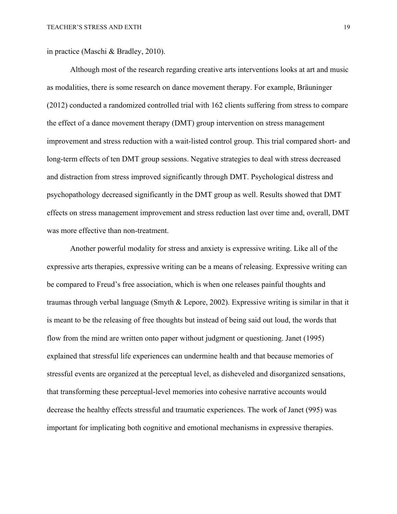in practice (Maschi & Bradley, 2010).

Although most of the research regarding creative arts interventions looks at art and music as modalities, there is some research on dance movement therapy. For example, Bräuninger (2012) conducted a randomized controlled trial with 162 clients suffering from stress to compare the effect of a dance movement therapy (DMT) group intervention on stress management improvement and stress reduction with a wait-listed control group. This trial compared short- and long-term effects of ten DMT group sessions. Negative strategies to deal with stress decreased and distraction from stress improved significantly through DMT. Psychological distress and psychopathology decreased significantly in the DMT group as well. Results showed that DMT effects on stress management improvement and stress reduction last over time and, overall, DMT was more effective than non-treatment.

Another powerful modality for stress and anxiety is expressive writing. Like all of the expressive arts therapies, expressive writing can be a means of releasing. Expressive writing can be compared to Freud's free association, which is when one releases painful thoughts and traumas through verbal language (Smyth & Lepore, 2002). Expressive writing is similar in that it is meant to be the releasing of free thoughts but instead of being said out loud, the words that flow from the mind are written onto paper without judgment or questioning. Janet (1995) explained that stressful life experiences can undermine health and that because memories of stressful events are organized at the perceptual level, as disheveled and disorganized sensations, that transforming these perceptual-level memories into cohesive narrative accounts would decrease the healthy effects stressful and traumatic experiences. The work of Janet (995) was important for implicating both cognitive and emotional mechanisms in expressive therapies.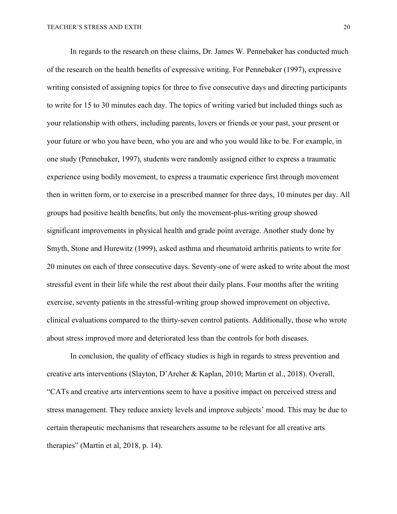In regards to the research on these claims, Dr. James W. Pennebaker has conducted much of the research on the health benefits of expressive writing. For Pennebaker (1997), expressive writing consisted of assigning topics for three to five consecutive days and directing participants to write for 15 to 30 minutes each day. The topics of writing varied but included things such as your relationship with others, including parents, lovers or friends or your past, your present or your future or who you have been, who you are and who you would like to be. For example, in one study (Pennebaker, 1997), students were randomly assigned either to express a traumatic experience using bodily movement, to express a traumatic experience first through movement then in written form, or to exercise in a prescribed manner for three days, 10 minutes per day. All groups had positive health benefits, but only the movement-plus-writing group showed significant improvements in physical health and grade point average. Another study done by Smyth, Stone and Hurewitz (1999), asked asthma and rheumatoid arthritis patients to write for 20 minutes on each of three consecutive days. Seventy-one of were asked to write about the most stressful event in their life while the rest about their daily plans. Four months after the writing exercise, seventy patients in the stressful-writing group showed improvement on objective, clinical evaluations compared to the thirty-seven control patients. Additionally, those who wrote about stress improved more and deteriorated less than the controls for both diseases.

In conclusion, the quality of efficacy studies is high in regards to stress prevention and creative arts interventions (Slayton, D'Archer & Kaplan, 2010; Martin et al., 2018). Overall, "CATs and creative arts interventions seem to have a positive impact on perceived stress and stress management. They reduce anxiety levels and improve subjects' mood. This may be due to certain therapeutic mechanisms that researchers assume to be relevant for all creative arts therapies" (Martin et al, 2018, p. 14).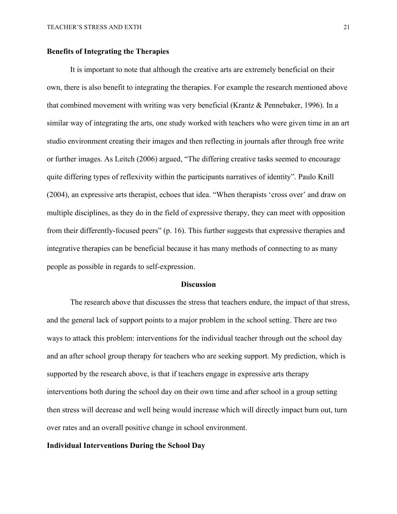### **Benefits of Integrating the Therapies**

It is important to note that although the creative arts are extremely beneficial on their own, there is also benefit to integrating the therapies. For example the research mentioned above that combined movement with writing was very beneficial (Krantz & Pennebaker, 1996). In a similar way of integrating the arts, one study worked with teachers who were given time in an art studio environment creating their images and then reflecting in journals after through free write or further images. As Leitch (2006) argued, "The differing creative tasks seemed to encourage quite differing types of reflexivity within the participants narratives of identity". Paulo Knill (2004), an expressive arts therapist, echoes that idea. "When therapists 'cross over' and draw on multiple disciplines, as they do in the field of expressive therapy, they can meet with opposition from their differently-focused peers" (p. 16). This further suggests that expressive therapies and integrative therapies can be beneficial because it has many methods of connecting to as many people as possible in regards to self-expression.

#### **Discussion**

The research above that discusses the stress that teachers endure, the impact of that stress, and the general lack of support points to a major problem in the school setting. There are two ways to attack this problem: interventions for the individual teacher through out the school day and an after school group therapy for teachers who are seeking support. My prediction, which is supported by the research above, is that if teachers engage in expressive arts therapy interventions both during the school day on their own time and after school in a group setting then stress will decrease and well being would increase which will directly impact burn out, turn over rates and an overall positive change in school environment.

## **Individual Interventions During the School Day**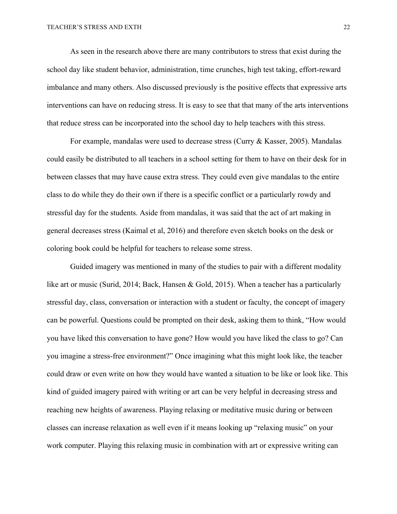As seen in the research above there are many contributors to stress that exist during the school day like student behavior, administration, time crunches, high test taking, effort-reward imbalance and many others. Also discussed previously is the positive effects that expressive arts interventions can have on reducing stress. It is easy to see that that many of the arts interventions that reduce stress can be incorporated into the school day to help teachers with this stress.

For example, mandalas were used to decrease stress (Curry & Kasser, 2005). Mandalas could easily be distributed to all teachers in a school setting for them to have on their desk for in between classes that may have cause extra stress. They could even give mandalas to the entire class to do while they do their own if there is a specific conflict or a particularly rowdy and stressful day for the students. Aside from mandalas, it was said that the act of art making in general decreases stress (Kaimal et al, 2016) and therefore even sketch books on the desk or coloring book could be helpful for teachers to release some stress.

Guided imagery was mentioned in many of the studies to pair with a different modality like art or music (Surid, 2014; Back, Hansen & Gold, 2015). When a teacher has a particularly stressful day, class, conversation or interaction with a student or faculty, the concept of imagery can be powerful. Questions could be prompted on their desk, asking them to think, "How would you have liked this conversation to have gone? How would you have liked the class to go? Can you imagine a stress-free environment?" Once imagining what this might look like, the teacher could draw or even write on how they would have wanted a situation to be like or look like. This kind of guided imagery paired with writing or art can be very helpful in decreasing stress and reaching new heights of awareness. Playing relaxing or meditative music during or between classes can increase relaxation as well even if it means looking up "relaxing music" on your work computer. Playing this relaxing music in combination with art or expressive writing can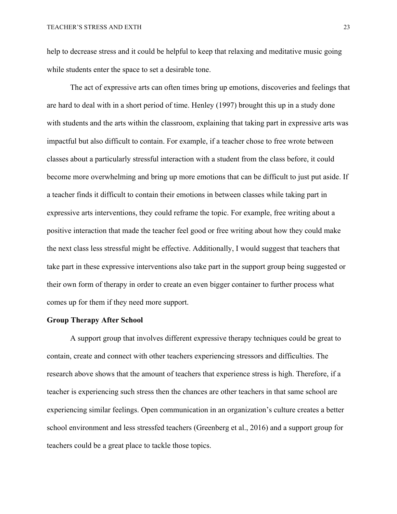help to decrease stress and it could be helpful to keep that relaxing and meditative music going while students enter the space to set a desirable tone.

The act of expressive arts can often times bring up emotions, discoveries and feelings that are hard to deal with in a short period of time. Henley (1997) brought this up in a study done with students and the arts within the classroom, explaining that taking part in expressive arts was impactful but also difficult to contain. For example, if a teacher chose to free wrote between classes about a particularly stressful interaction with a student from the class before, it could become more overwhelming and bring up more emotions that can be difficult to just put aside. If a teacher finds it difficult to contain their emotions in between classes while taking part in expressive arts interventions, they could reframe the topic. For example, free writing about a positive interaction that made the teacher feel good or free writing about how they could make the next class less stressful might be effective. Additionally, I would suggest that teachers that take part in these expressive interventions also take part in the support group being suggested or their own form of therapy in order to create an even bigger container to further process what comes up for them if they need more support.

#### **Group Therapy After School**

A support group that involves different expressive therapy techniques could be great to contain, create and connect with other teachers experiencing stressors and difficulties. The research above shows that the amount of teachers that experience stress is high. Therefore, if a teacher is experiencing such stress then the chances are other teachers in that same school are experiencing similar feelings. Open communication in an organization's culture creates a better school environment and less stressfed teachers (Greenberg et al., 2016) and a support group for teachers could be a great place to tackle those topics.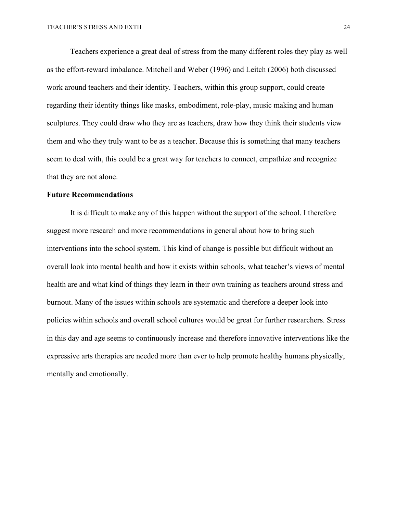Teachers experience a great deal of stress from the many different roles they play as well as the effort-reward imbalance. Mitchell and Weber (1996) and Leitch (2006) both discussed work around teachers and their identity. Teachers, within this group support, could create regarding their identity things like masks, embodiment, role-play, music making and human sculptures. They could draw who they are as teachers, draw how they think their students view them and who they truly want to be as a teacher. Because this is something that many teachers seem to deal with, this could be a great way for teachers to connect, empathize and recognize that they are not alone.

#### **Future Recommendations**

It is difficult to make any of this happen without the support of the school. I therefore suggest more research and more recommendations in general about how to bring such interventions into the school system. This kind of change is possible but difficult without an overall look into mental health and how it exists within schools, what teacher's views of mental health are and what kind of things they learn in their own training as teachers around stress and burnout. Many of the issues within schools are systematic and therefore a deeper look into policies within schools and overall school cultures would be great for further researchers. Stress in this day and age seems to continuously increase and therefore innovative interventions like the expressive arts therapies are needed more than ever to help promote healthy humans physically, mentally and emotionally.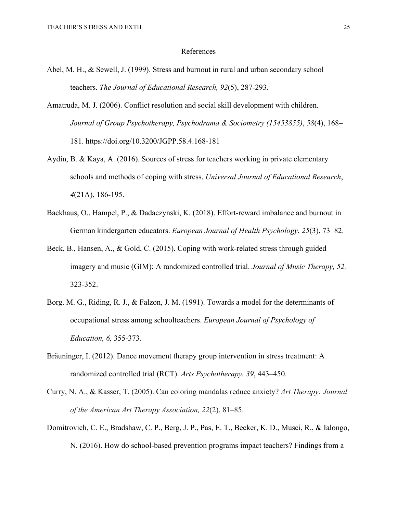#### References

- Abel, M. H., & Sewell, J. (1999). Stress and burnout in rural and urban secondary school teachers. *The Journal of Educational Research, 92*(5), 287-293.
- Amatruda, M. J. (2006). Conflict resolution and social skill development with children. *Journal of Group Psychotherapy, Psychodrama & Sociometry (15453855)*, *58*(4), 168– 181. https://doi.org/10.3200/JGPP.58.4.168-181
- Aydin, B. & Kaya, A. (2016). Sources of stress for teachers working in private elementary schools and methods of coping with stress. *Universal Journal of Educational Research*, *4*(21A), 186-195.
- Backhaus, O., Hampel, P., & Dadaczynski, K. (2018). Effort-reward imbalance and burnout in German kindergarten educators. *European Journal of Health Psychology*, *25*(3), 73–82.
- Beck, B., Hansen, A., & Gold, C. (2015). Coping with work-related stress through guided imagery and music (GIM): A randomized controlled trial. *Journal of Music Therapy, 52,*  323-352.
- Borg. M. G., Riding, R. J., & Falzon, J. M. (1991). Towards a model for the determinants of occupational stress among schoolteachers. *European Journal of Psychology of Education, 6,* 355-373.
- Bräuninger, I. (2012). Dance movement therapy group intervention in stress treatment: A randomized controlled trial (RCT). *Arts Psychotherapy. 39*, 443–450.
- Curry, N. A., & Kasser, T. (2005). Can coloring mandalas reduce anxiety? *Art Therapy: Journal of the American Art Therapy Association, 22*(2), 81–85.
- Domitrovich, C. E., Bradshaw, C. P., Berg, J. P., Pas, E. T., Becker, K. D., Musci, R., & Ialongo, N. (2016). How do school-based prevention programs impact teachers? Findings from a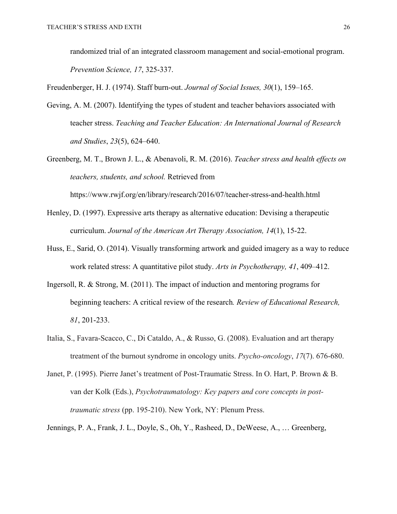randomized trial of an integrated classroom management and social-emotional program. *Prevention Science, 17*, 325-337.

Freudenberger, H. J. (1974). Staff burn-out. *Journal of Social Issues, 30*(1), 159–165.

- Geving, A. M. (2007). Identifying the types of student and teacher behaviors associated with teacher stress. *Teaching and Teacher Education: An International Journal of Research and Studies*, *23*(5), 624–640.
- Greenberg, M. T., Brown J. L., & Abenavoli, R. M. (2016). *Teacher stress and health effects on teachers, students, and school.* Retrieved from https://www.rwjf.org/en/library/research/2016/07/teacher-stress-and-health.html
- Henley, D. (1997). Expressive arts therapy as alternative education: Devising a therapeutic curriculum. *Journal of the American Art Therapy Association, 14*(1), 15-22.
- Huss, E., Sarid, O. (2014). Visually transforming artwork and guided imagery as a way to reduce work related stress: A quantitative pilot study. *Arts in Psychotherapy, 41*, 409–412.
- Ingersoll, R. & Strong, M. (2011). The impact of induction and mentoring programs for beginning teachers: A critical review of the research*. Review of Educational Research, 81*, 201-233.
- Italia, S., Favara-Scacco, C., Di Cataldo, A., & Russo, G. (2008). Evaluation and art therapy treatment of the burnout syndrome in oncology units. *Psycho-oncology*, *17*(7). 676-680.
- Janet, P. (1995). Pierre Janet's treatment of Post-Traumatic Stress. In O. Hart, P. Brown & B. van der Kolk (Eds.), *Psychotraumatology: Key papers and core concepts in posttraumatic stress* (pp. 195-210). New York, NY: Plenum Press.

Jennings, P. A., Frank, J. L., Doyle, S., Oh, Y., Rasheed, D., DeWeese, A., … Greenberg,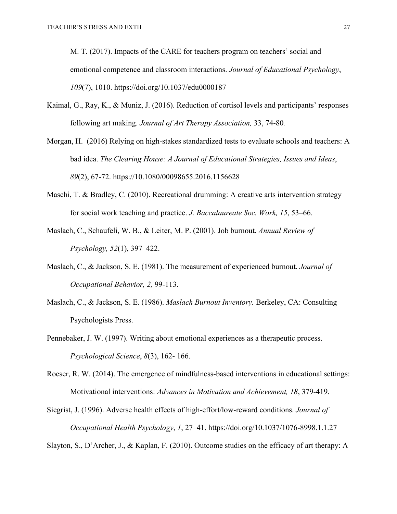M. T. (2017). Impacts of the CARE for teachers program on teachers' social and emotional competence and classroom interactions. *Journal of Educational Psychology*, *109*(7), 1010. https://doi.org/10.1037/edu0000187

- Kaimal, G., Ray, K., & Muniz, J. (2016). Reduction of cortisol levels and participants' responses following art making. *Journal of Art Therapy Association,* 33, 74-80*.*
- Morgan, H. (2016) Relying on high-stakes standardized tests to evaluate schools and teachers: A bad idea. *The Clearing House: A Journal of Educational Strategies, Issues and Ideas*, *89*(2), 67-72. https://10.1080/00098655.2016.1156628
- Maschi, T. & Bradley, C. (2010). Recreational drumming: A creative arts intervention strategy for social work teaching and practice. *J. Baccalaureate Soc. Work, 15*, 53–66.
- Maslach, C., Schaufeli, W. B., & Leiter, M. P. (2001). Job burnout. *Annual Review of Psychology, 52*(1), 397–422.
- Maslach, C., & Jackson, S. E. (1981). The measurement of experienced burnout. *Journal of Occupational Behavior, 2,* 99-113.
- Maslach, C., & Jackson, S. E. (1986). *Maslach Burnout Inventory.* Berkeley, CA: Consulting Psychologists Press.
- Pennebaker, J. W. (1997). Writing about emotional experiences as a therapeutic process. *Psychological Science*, *8*(3), 162- 166.

Roeser, R. W. (2014). The emergence of mindfulness-based interventions in educational settings: Motivational interventions: *Advances in Motivation and Achievement, 18*, 379-419.

Siegrist, J. (1996). Adverse health effects of high-effort/low-reward conditions. *Journal of Occupational Health Psychology*, *1*, 27–41. https://doi.org/10.1037/1076-8998.1.1.27

Slayton, S., D'Archer, J., & Kaplan, F. (2010). Outcome studies on the efficacy of art therapy: A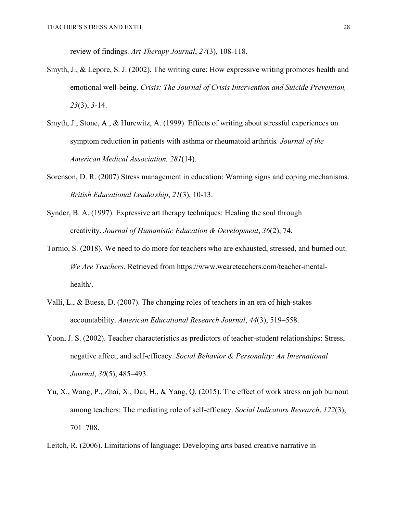review of findings. *Art Therapy Journal*, *27*(3), 108-118.

- Smyth, J., & Lepore, S. J. (2002). The writing cure: How expressive writing promotes health and emotional well-being. *Crisis: The Journal of Crisis Intervention and Suicide Prevention, 23*(3), *3*-14.
- Smyth, J., Stone, A., & Hurewitz, A. (1999). Effects of writing about stressful experiences on symptom reduction in patients with asthma or rheumatoid arthritis*. Journal of the American Medical Association, 281*(14).
- Sorenson, D. R. (2007) Stress management in education: Warning signs and coping mechanisms. *British Educational Leadership*, *21*(3), 10-13.
- Synder, B. A. (1997). Expressive art therapy techniques: Healing the soul through creativity. *Journal of Humanistic Education & Development*, *36*(2), 74.
- Tornio, S. (2018). We need to do more for teachers who are exhausted, stressed, and burned out. *We Are Teachers*. Retrieved from https://www.weareteachers.com/teacher-mentalhealth/.
- Valli, L., & Buese, D. (2007). The changing roles of teachers in an era of high-stakes accountability. *American Educational Research Journal*, *44*(3), 519–558.
- Yoon, J. S. (2002). Teacher characteristics as predictors of teacher-student relationships: Stress, negative affect, and self-efficacy. *Social Behavior & Personality: An International Journal*, *30*(5), 485–493.
- Yu, X., Wang, P., Zhai, X., Dai, H., & Yang, Q. (2015). The effect of work stress on job burnout among teachers: The mediating role of self-efficacy. *Social Indicators Research*, *122*(3), 701–708.
- Leitch, R. (2006). Limitations of language: Developing arts based creative narrative in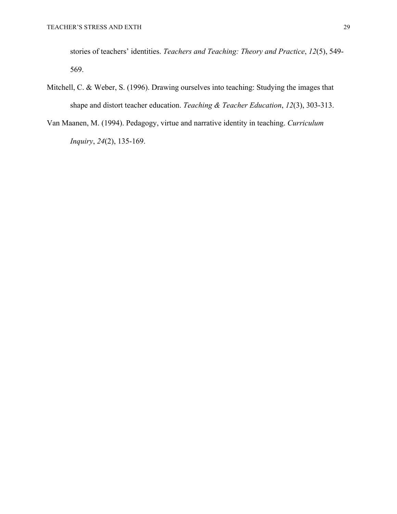stories of teachers' identities. *Teachers and Teaching: Theory and Practice*, *12*(5), 549- 569.

- Mitchell, C. & Weber, S. (1996). Drawing ourselves into teaching: Studying the images that shape and distort teacher education. *Teaching & Teacher Education*, *12*(3), 303-313.
- Van Maanen, M. (1994). Pedagogy, virtue and narrative identity in teaching. *Curriculum Inquiry*, *24*(2), 135-169.